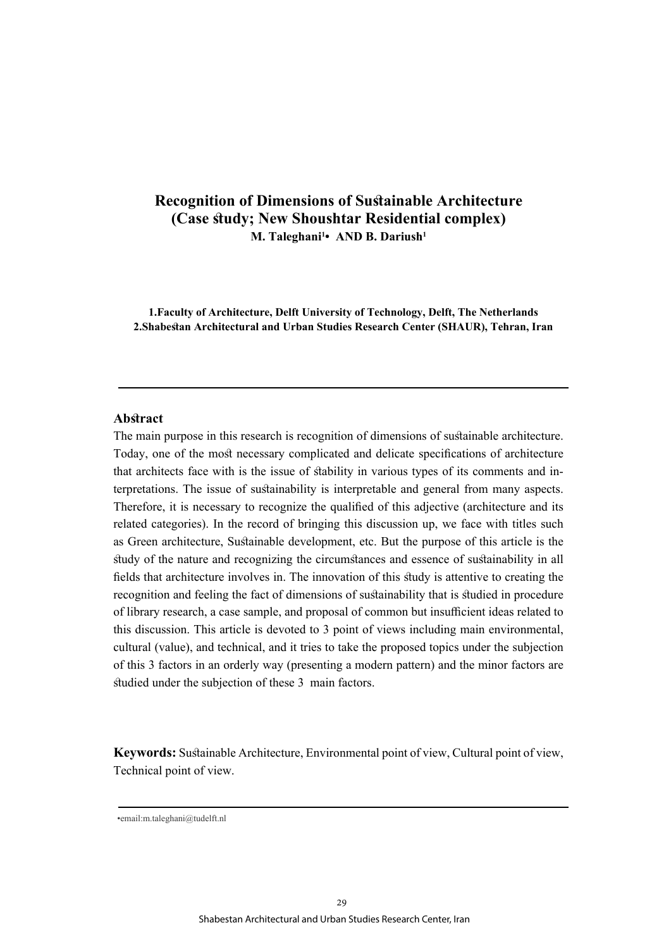# **Recognition of Dimensions of Sustainable Architecture (Case study; New Shoushtar Residential complex) M. Taleghani<sup>1</sup> • AND B. Dariush1**

**1.Faculty of Architecture, Delft University of Technology, Delft, The Netherlands 2.Shabestan Architectural and Urban Studies Research Center (SHAUR), Tehran, Iran**

## **Abstract**

The main purpose in this research is recognition of dimensions of sustainable architecture. Today, one of the most necessary complicated and delicate specifications of architecture that architects face with is the issue of stability in various types of its comments and interpretations. The issue of sustainability is interpretable and general from many aspects. Therefore, it is necessary to recognize the qualified of this adjective (architecture and its related categories). In the record of bringing this discussion up, we face with titles such as Green architecture, Sustainable development, etc. But the purpose of this article is the study of the nature and recognizing the circumstances and essence of sustainability in all fields that architecture involves in. The innovation of this study is attentive to creating the recognition and feeling the fact of dimensions of sustainability that is studied in procedure of library research, a case sample, and proposal of common but insufficient ideas related to this discussion. This article is devoted to 3 point of views including main environmental, cultural (value), and technical, and it tries to take the proposed topics under the subjection of this 3 factors in an orderly way (presenting a modern pattern) and the minor factors are studied under the subjection of these 3 main factors.

**Keywords:** Sustainable Architecture, Environmental point of view, Cultural point of view, Technical point of view.

<sup>•</sup>email:m.taleghani@tudelft.nl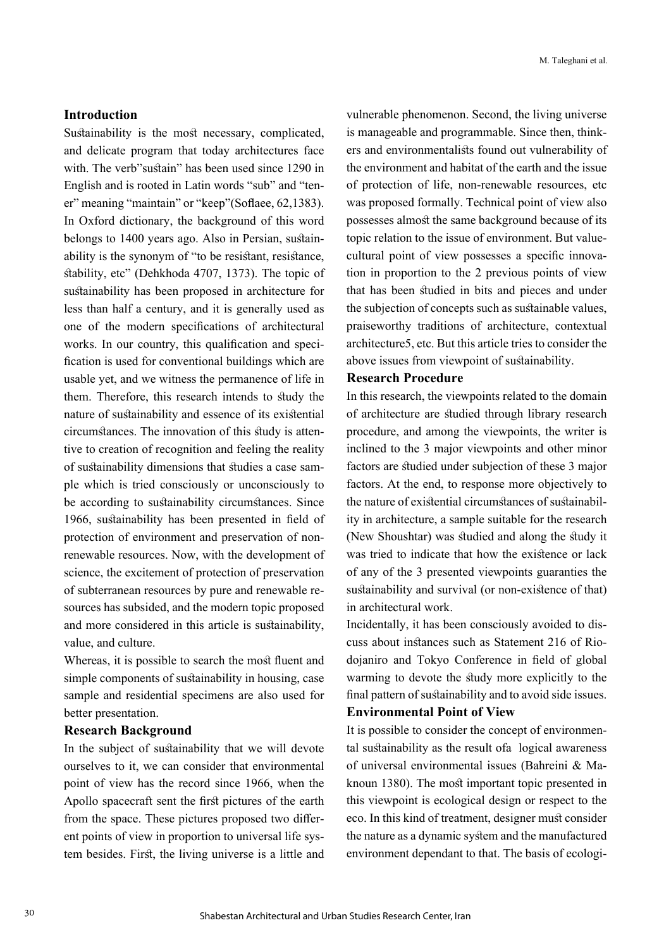## **Introduction**

Sustainability is the most necessary, complicated, and delicate program that today architectures face with. The verb" sustain" has been used since 1290 in English and is rooted in Latin words "sub" and "tener" meaning "maintain" or "keep"(Soflaee, 62,1383). In Oxford dictionary, the background of this word belongs to 1400 years ago. Also in Persian, sustainability is the synonym of "to be resistant, resistance, stability, etc" (Dehkhoda 4707, 1373). The topic of sustainability has been proposed in architecture for less than half a century, and it is generally used as one of the modern specifications of architectural works. In our country, this qualification and specification is used for conventional buildings which are usable yet, and we witness the permanence of life in them. Therefore, this research intends to study the nature of sustainability and essence of its existential circumstances. The innovation of this study is attentive to creation of recognition and feeling the reality of sustainability dimensions that studies a case sample which is tried consciously or unconsciously to be according to sustainability circumstances. Since 1966, sustainability has been presented in field of protection of environment and preservation of nonrenewable resources. Now, with the development of science, the excitement of protection of preservation of subterranean resources by pure and renewable resources has subsided, and the modern topic proposed and more considered in this article is sustainability, value, and culture.

Whereas, it is possible to search the most fluent and simple components of sustainability in housing, case sample and residential specimens are also used for better presentation.

#### **Research Background**

In the subject of sustainability that we will devote ourselves to it, we can consider that environmental point of view has the record since 1966, when the Apollo spacecraft sent the first pictures of the earth from the space. These pictures proposed two different points of view in proportion to universal life system besides. First, the living universe is a little and vulnerable phenomenon. Second, the living universe is manageable and programmable. Since then, thinkers and environmentalists found out vulnerability of the environment and habitat of the earth and the issue of protection of life, non-renewable resources, etc was proposed formally. Technical point of view also possesses almost the same background because of its topic relation to the issue of environment. But valuecultural point of view possesses a specific innovation in proportion to the 2 previous points of view that has been studied in bits and pieces and under the subjection of concepts such as sustainable values, praiseworthy traditions of architecture, contextual architecture5, etc. But this article tries to consider the above issues from viewpoint of sustainability.

## **Research Procedure**

In this research, the viewpoints related to the domain of architecture are studied through library research procedure, and among the viewpoints, the writer is inclined to the 3 major viewpoints and other minor factors are studied under subjection of these 3 major factors. At the end, to response more objectively to the nature of existential circumstances of sustainability in architecture, a sample suitable for the research (New Shoushtar) was studied and along the study it was tried to indicate that how the existence or lack of any of the 3 presented viewpoints guaranties the sustainability and survival (or non-existence of that) in architectural work.

Incidentally, it has been consciously avoided to discuss about instances such as Statement 216 of Riodojaniro and Tokyo Conference in field of global warming to devote the study more explicitly to the final pattern of sustainability and to avoid side issues. **Environmental Point of View**

It is possible to consider the concept of environmental sustainability as the result ofa logical awareness of universal environmental issues (Bahreini & Maknoun 1380). The most important topic presented in this viewpoint is ecological design or respect to the eco. In this kind of treatment, designer must consider the nature as a dynamic system and the manufactured environment dependant to that. The basis of ecologi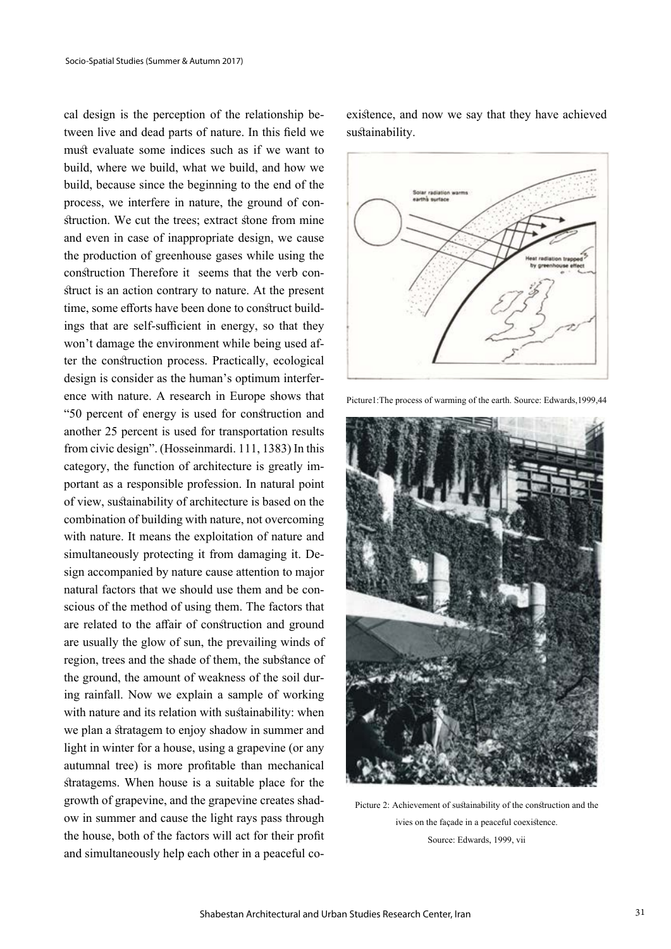cal design is the perception of the relationship between live and dead parts of nature. In this field we must evaluate some indices such as if we want to build, where we build, what we build, and how we build, because since the beginning to the end of the process, we interfere in nature, the ground of construction. We cut the trees; extract stone from mine and even in case of inappropriate design, we cause the production of greenhouse gases while using the construction Therefore it seems that the verb construct is an action contrary to nature. At the present time, some efforts have been done to construct buildings that are self-sufficient in energy, so that they won't damage the environment while being used after the construction process. Practically, ecological design is consider as the human's optimum interference with nature. A research in Europe shows that "50 percent of energy is used for construction and another 25 percent is used for transportation results from civic design". (Hosseinmardi. 111, 1383) In this category, the function of architecture is greatly important as a responsible profession. In natural point of view, sustainability of architecture is based on the combination of building with nature, not overcoming with nature. It means the exploitation of nature and simultaneously protecting it from damaging it. Design accompanied by nature cause attention to major natural factors that we should use them and be conscious of the method of using them. The factors that are related to the affair of construction and ground are usually the glow of sun, the prevailing winds of region, trees and the shade of them, the substance of the ground, the amount of weakness of the soil during rainfall. Now we explain a sample of working with nature and its relation with sustainability: when we plan a stratagem to enjoy shadow in summer and light in winter for a house, using a grapevine (or any autumnal tree) is more profitable than mechanical stratagems. When house is a suitable place for the growth of grapevine, and the grapevine creates shadow in summer and cause the light rays pass through the house, both of the factors will act for their profit and simultaneously help each other in a peaceful co-

existence, and now we say that they have achieved sustainability.



Picture1:The process of warming of the earth. Source: Edwards,1999,44



Picture 2: Achievement of sustainability of the construction and the ivies on the façade in a peaceful coexistence. Source: Edwards, 1999, vii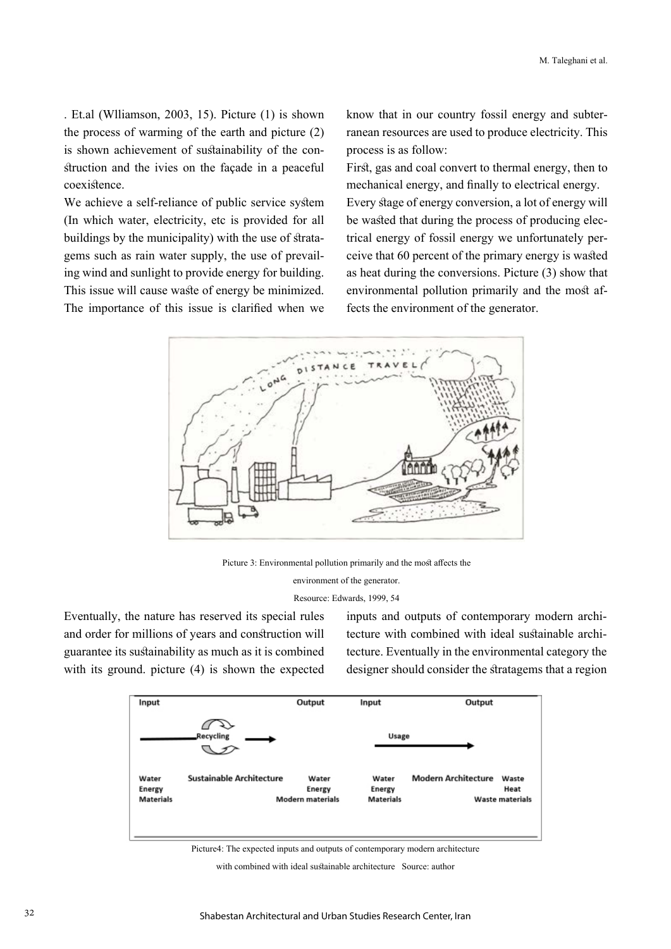. Et.al (Wlliamson, 2003, 15). Picture (1) is shown the process of warming of the earth and picture (2) is shown achievement of sustainability of the construction and the ivies on the façade in a peaceful coexistence.

We achieve a self-reliance of public service system (In which water, electricity, etc is provided for all buildings by the municipality) with the use of stratagems such as rain water supply, the use of prevailing wind and sunlight to provide energy for building. This issue will cause waste of energy be minimized. The importance of this issue is clarified when we know that in our country fossil energy and subterranean resources are used to produce electricity. This process is as follow:

First, gas and coal convert to thermal energy, then to mechanical energy, and finally to electrical energy. Every stage of energy conversion, a lot of energy will be wasted that during the process of producing electrical energy of fossil energy we unfortunately perceive that 60 percent of the primary energy is wasted as heat during the conversions. Picture (3) show that environmental pollution primarily and the most affects the environment of the generator.



Picture 3: Environmental pollution primarily and the most affects the

environment of the generator.

Resource: Edwards, 1999, 54

Eventually, the nature has reserved its special rules and order for millions of years and construction will guarantee its sustainability as much as it is combined with its ground. picture (4) is shown the expected inputs and outputs of contemporary modern architecture with combined with ideal sustainable architecture. Eventually in the environmental category the designer should consider the stratagems that a region



Picture4: The expected inputs and outputs of contemporary modern architecture

with combined with ideal sustainable architecture Source: author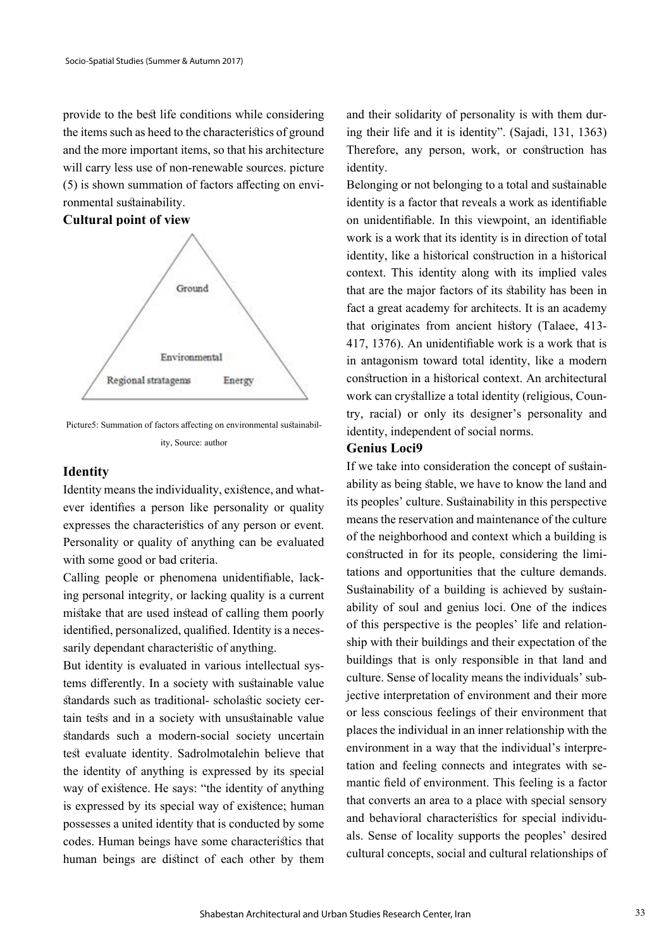provide to the best life conditions while considering the items such as heed to the characteristics of ground and the more important items, so that his architecture will carry less use of non-renewable sources. picture (5) is shown summation of factors affecting on environmental sustainability.

## **Cultural point of view**



Picture5: Summation of factors affecting on environmental sustainability, Source: author

#### **Identity**

Identity means the individuality, existence, and whatever identifies a person like personality or quality expresses the characteristics of any person or event. Personality or quality of anything can be evaluated with some good or bad criteria.

Calling people or phenomena unidentifiable, lacking personal integrity, or lacking quality is a current mistake that are used instead of calling them poorly identified, personalized, qualified. Identity is a necessarily dependant characteristic of anything.

But identity is evaluated in various intellectual systems differently. In a society with sustainable value standards such as traditional- scholastic society certain tests and in a society with unsustainable value standards such a modern-social society uncertain test evaluate identity. Sadrolmotalehin believe that the identity of anything is expressed by its special way of existence. He says: "the identity of anything is expressed by its special way of existence; human possesses a united identity that is conducted by some codes. Human beings have some characteristics that human beings are distinct of each other by them

and their solidarity of personality is with them during their life and it is identity". (Sajadi, 131, 1363) Therefore, any person, work, or construction has identity.

Belonging or not belonging to a total and sustainable identity is a factor that reveals a work as identifiable on unidentifiable. In this viewpoint, an identifiable work is a work that its identity is in direction of total identity, like a historical construction in a historical context. This identity along with its implied vales that are the major factors of its stability has been in fact a great academy for architects. It is an academy that originates from ancient history (Talaee, 413- 417, 1376). An unidentifiable work is a work that is in antagonism toward total identity, like a modern construction in a historical context. An architectural work can crystallize a total identity (religious, Country, racial) or only its designer's personality and identity, independent of social norms.

## **Genius Loci9**

If we take into consideration the concept of sustainability as being stable, we have to know the land and its peoples' culture. Sustainability in this perspective means the reservation and maintenance of the culture of the neighborhood and context which a building is constructed in for its people, considering the limitations and opportunities that the culture demands. Sustainability of a building is achieved by sustainability of soul and genius loci. One of the indices of this perspective is the peoples' life and relationship with their buildings and their expectation of the buildings that is only responsible in that land and culture. Sense of locality means the individuals' subjective interpretation of environment and their more or less conscious feelings of their environment that places the individual in an inner relationship with the environment in a way that the individual's interpretation and feeling connects and integrates with semantic field of environment. This feeling is a factor that converts an area to a place with special sensory and behavioral characteristics for special individuals. Sense of locality supports the peoples' desired cultural concepts, social and cultural relationships of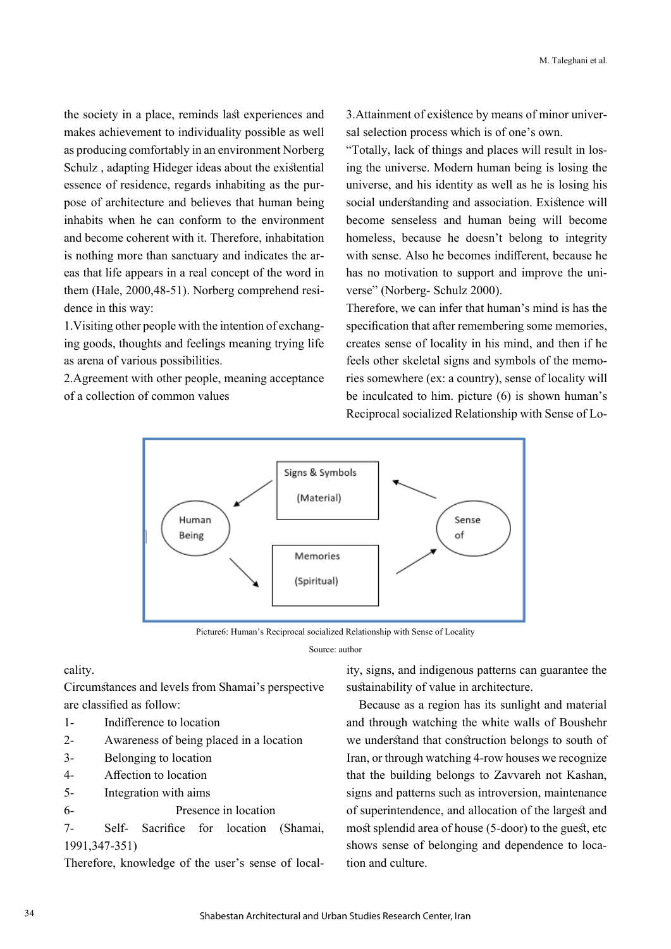the society in a place, reminds last experiences and makes achievement to individuality possible as well as producing comfortably in an environment Norberg Schulz , adapting Hideger ideas about the existential essence of residence, regards inhabiting as the purpose of architecture and believes that human being inhabits when he can conform to the environment and become coherent with it. Therefore, inhabitation is nothing more than sanctuary and indicates the areas that life appears in a real concept of the word in them (Hale, 2000,48-51). Norberg comprehend residence in this way:

1.Visiting other people with the intention of exchanging goods, thoughts and feelings meaning trying life as arena of various possibilities.

2.Agreement with other people, meaning acceptance of a collection of common values

3.Attainment of existence by means of minor universal selection process which is of one's own.

"Totally, lack of things and places will result in losing the universe. Modern human being is losing the universe, and his identity as well as he is losing his social understanding and association. Existence will become senseless and human being will become homeless, because he doesn't belong to integrity with sense. Also he becomes indifferent, because he has no motivation to support and improve the universe" (Norberg- Schulz 2000).

Therefore, we can infer that human's mind is has the specification that after remembering some memories, creates sense of locality in his mind, and then if he feels other skeletal signs and symbols of the memories somewhere (ex: a country), sense of locality will be inculcated to him. picture (6) is shown human's Reciprocal socialized Relationship with Sense of Lo-



Picture6: Human's Reciprocal socialized Relationship with Sense of Locality

Source: author

#### cality.

Circumstances and levels from Shamai's perspective are classified as follow:

- 1- Indifference to location
- 2- Awareness of being placed in a location
- 3- Belonging to location
- 4- Affection to location
- 5- Integration with aims
- 6- Presence in location

7- Self- Sacrifice for location (Shamai, 1991,347-351)

Therefore, knowledge of the user's sense of local-

ity, signs, and indigenous patterns can guarantee the sustainability of value in architecture.

 Because as a region has its sunlight and material and through watching the white walls of Boushehr we understand that construction belongs to south of Iran, or through watching 4-row houses we recognize that the building belongs to Zavvareh not Kashan, signs and patterns such as introversion, maintenance of superintendence, and allocation of the largest and most splendid area of house (5-door) to the guest, etc shows sense of belonging and dependence to location and culture.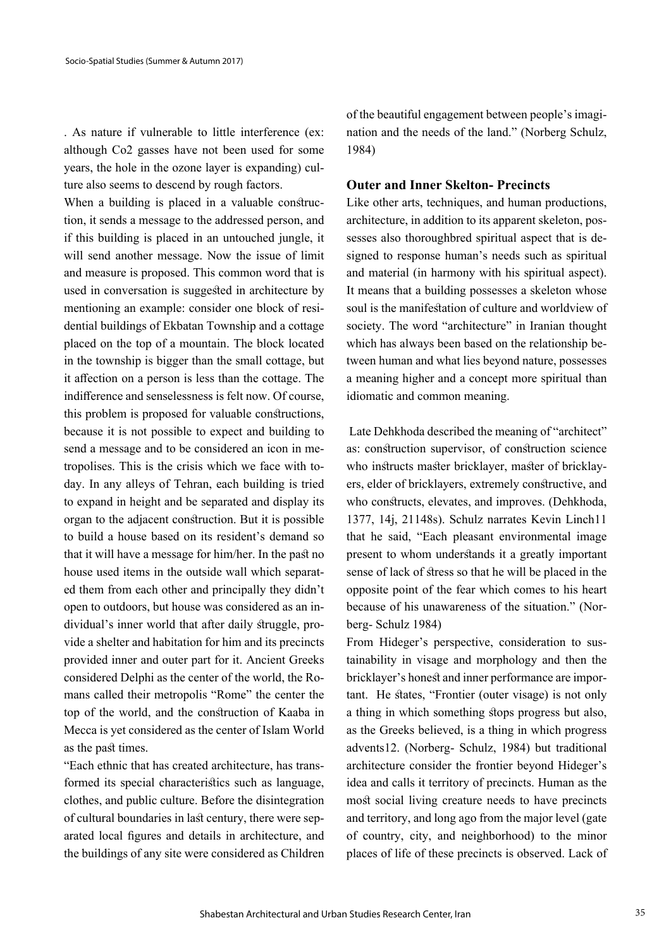. As nature if vulnerable to little interference (ex: although Co2 gasses have not been used for some years, the hole in the ozone layer is expanding) culture also seems to descend by rough factors.

When a building is placed in a valuable construction, it sends a message to the addressed person, and if this building is placed in an untouched jungle, it will send another message. Now the issue of limit and measure is proposed. This common word that is used in conversation is suggested in architecture by mentioning an example: consider one block of residential buildings of Ekbatan Township and a cottage placed on the top of a mountain. The block located in the township is bigger than the small cottage, but it affection on a person is less than the cottage. The indifference and senselessness is felt now. Of course, this problem is proposed for valuable constructions, because it is not possible to expect and building to send a message and to be considered an icon in metropolises. This is the crisis which we face with today. In any alleys of Tehran, each building is tried to expand in height and be separated and display its organ to the adjacent construction. But it is possible to build a house based on its resident's demand so that it will have a message for him/her. In the past no house used items in the outside wall which separated them from each other and principally they didn't open to outdoors, but house was considered as an individual's inner world that after daily struggle, provide a shelter and habitation for him and its precincts provided inner and outer part for it. Ancient Greeks considered Delphi as the center of the world, the Romans called their metropolis "Rome" the center the top of the world, and the construction of Kaaba in Mecca is yet considered as the center of Islam World as the past times.

"Each ethnic that has created architecture, has transformed its special characteristics such as language, clothes, and public culture. Before the disintegration of cultural boundaries in last century, there were separated local figures and details in architecture, and the buildings of any site were considered as Children of the beautiful engagement between people's imagination and the needs of the land." (Norberg Schulz, 1984)

## **Outer and Inner Skelton- Precincts**

Like other arts, techniques, and human productions, architecture, in addition to its apparent skeleton, possesses also thoroughbred spiritual aspect that is designed to response human's needs such as spiritual and material (in harmony with his spiritual aspect). It means that a building possesses a skeleton whose soul is the manifestation of culture and worldview of society. The word "architecture" in Iranian thought which has always been based on the relationship between human and what lies beyond nature, possesses a meaning higher and a concept more spiritual than idiomatic and common meaning.

 Late Dehkhoda described the meaning of "architect" as: construction supervisor, of construction science who instructs master bricklayer, master of bricklayers, elder of bricklayers, extremely constructive, and who constructs, elevates, and improves. (Dehkhoda, 1377, 14j, 21148s). Schulz narrates Kevin Linch11 that he said, "Each pleasant environmental image present to whom understands it a greatly important sense of lack of stress so that he will be placed in the opposite point of the fear which comes to his heart because of his unawareness of the situation." (Norberg- Schulz 1984)

From Hideger's perspective, consideration to sustainability in visage and morphology and then the bricklayer's honest and inner performance are important. He states, "Frontier (outer visage) is not only a thing in which something stops progress but also, as the Greeks believed, is a thing in which progress advents12. (Norberg- Schulz, 1984) but traditional architecture consider the frontier beyond Hideger's idea and calls it territory of precincts. Human as the most social living creature needs to have precincts and territory, and long ago from the major level (gate of country, city, and neighborhood) to the minor places of life of these precincts is observed. Lack of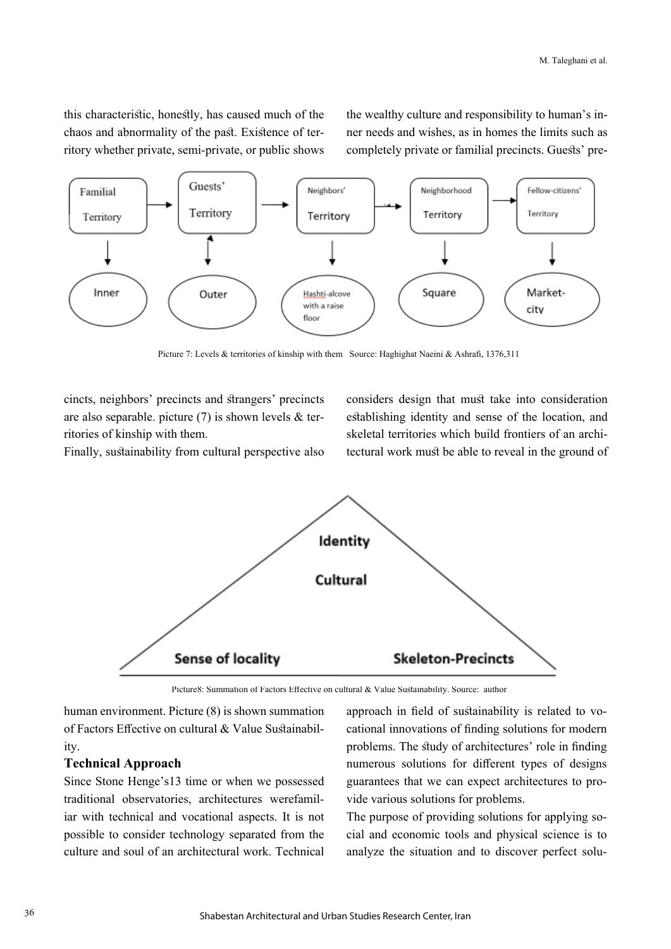this characteristic, honestly, has caused much of the chaos and abnormality of the past. Existence of territory whether private, semi-private, or public shows the wealthy culture and responsibility to human's inner needs and wishes, as in homes the limits such as completely private or familial precincts. Guests' pre-



Picture 7: Levels & territories of kinship with them Source: Haghighat Naeini & Ashrafi, 1376,311

cincts, neighbors' precincts and strangers' precincts are also separable. picture (7) is shown levels & territories of kinship with them.

Finally, sustainability from cultural perspective also

considers design that must take into consideration establishing identity and sense of the location, and skeletal territories which build frontiers of an architectural work must be able to reveal in the ground of



Picture8: Summation of Factors Effective on cultural & Value Sustainability. Source: author

human environment. Picture (8) is shown summation of Factors Effective on cultural & Value Sustainability.

## **Technical Approach**

Since Stone Henge's13 time or when we possessed traditional observatories, architectures werefamiliar with technical and vocational aspects. It is not possible to consider technology separated from the culture and soul of an architectural work. Technical approach in field of sustainability is related to vocational innovations of finding solutions for modern problems. The study of architectures' role in finding numerous solutions for different types of designs guarantees that we can expect architectures to provide various solutions for problems.

The purpose of providing solutions for applying social and economic tools and physical science is to analyze the situation and to discover perfect solu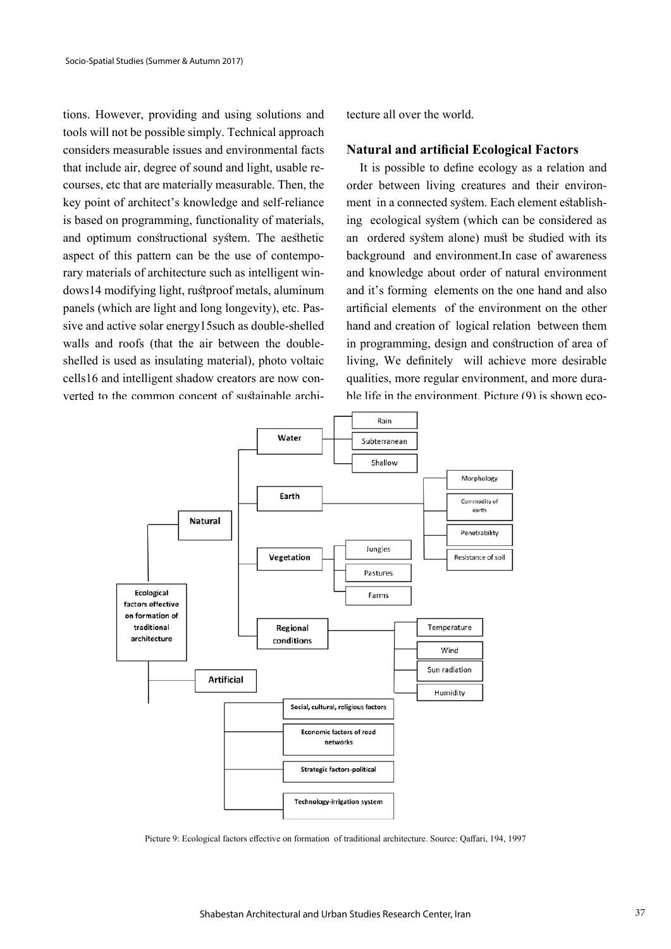tions. However, providing and using solutions and tools will not be possible simply. Technical approach considers measurable issues and environmental facts that include air, degree of sound and light, usable recourses, etc that are materially measurable. Then, the key point of architect's knowledge and self-reliance is based on programming, functionality of materials, and optimum constructional system. The aesthetic aspect of this pattern can be the use of contemporary materials of architecture such as intelligent windows14 modifying light, rustproof metals, aluminum panels (which are light and long longevity), etc. Passive and active solar energy15such as double-shelled walls and roofs (that the air between the doubleshelled is used as insulating material), photo voltaic cells16 and intelligent shadow creators are now converted to the common concent of sustainable architecture all over the world.

## **Natural and artificial Ecological Factors**

 It is possible to define ecology as a relation and order between living creatures and their environment in a connected system. Each element establishing ecological system (which can be considered as an ordered system alone) must be studied with its background and environment.In case of awareness and knowledge about order of natural environment and it's forming elements on the one hand and also artificial elements of the environment on the other hand and creation of logical relation between them in programming, design and construction of area of living, We definitely will achieve more desirable qualities, more regular environment, and more durable life in the environment. Picture (9) is shown eco-



Picture 9: Ecological factors effective on formation of traditional architecture. Source: Qaffari, 194, 1997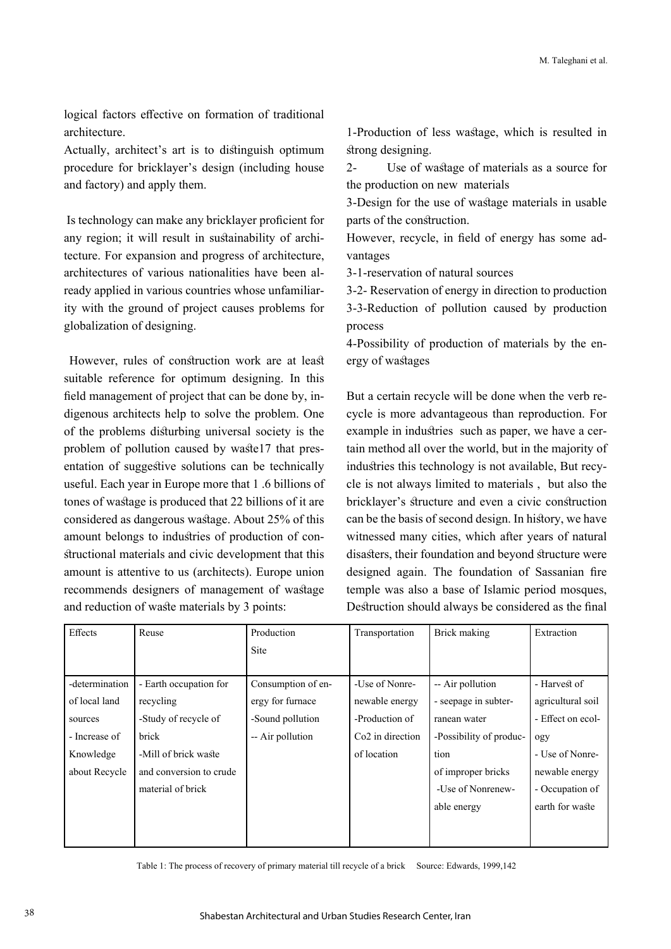logical factors effective on formation of traditional architecture.

Actually, architect's art is to distinguish optimum procedure for bricklayer's design (including house and factory) and apply them.

 Is technology can make any bricklayer proficient for any region; it will result in sustainability of architecture. For expansion and progress of architecture, architectures of various nationalities have been already applied in various countries whose unfamiliarity with the ground of project causes problems for globalization of designing.

 However, rules of construction work are at least suitable reference for optimum designing. In this field management of project that can be done by, indigenous architects help to solve the problem. One of the problems disturbing universal society is the problem of pollution caused by waste17 that presentation of suggestive solutions can be technically useful. Each year in Europe more that 1 .6 billions of tones of wastage is produced that 22 billions of it are considered as dangerous wastage. About 25% of this amount belongs to industries of production of constructional materials and civic development that this amount is attentive to us (architects). Europe union recommends designers of management of wastage and reduction of waste materials by 3 points:

1-Production of less wastage, which is resulted in strong designing.

2- Use of wastage of materials as a source for the production on new materials

3-Design for the use of wastage materials in usable parts of the construction.

However, recycle, in field of energy has some advantages

3-1-reservation of natural sources

3-2- Reservation of energy in direction to production 3-3-Reduction of pollution caused by production process

4-Possibility of production of materials by the energy of wastages

But a certain recycle will be done when the verb recycle is more advantageous than reproduction. For example in industries such as paper, we have a certain method all over the world, but in the majority of industries this technology is not available, But recycle is not always limited to materials , but also the bricklayer's structure and even a civic construction can be the basis of second design. In history, we have witnessed many cities, which after years of natural disasters, their foundation and beyond structure were designed again. The foundation of Sassanian fire temple was also a base of Islamic period mosques, Destruction should always be considered as the final

| Effects        | Reuse                   | Production         | Transportation               | Brick making            | Extraction        |
|----------------|-------------------------|--------------------|------------------------------|-------------------------|-------------------|
|                |                         | <b>Site</b>        |                              |                         |                   |
|                |                         |                    |                              |                         |                   |
| -determination | - Earth occupation for  | Consumption of en- | -Use of Nonre-               | -- Air pollution        | - Harvest of      |
| of local land  | recycling               | ergy for furnace   | newable energy               | - seepage in subter-    | agricultural soil |
| sources        | -Study of recycle of    | -Sound pollution   | -Production of               | ranean water            | - Effect on ecol- |
| - Increase of  | brick                   | -- Air pollution   | Co <sub>2</sub> in direction | -Possibility of produc- | ogy               |
| Knowledge      | -Mill of brick waste    |                    | of location                  | tion                    | - Use of Nonre-   |
| about Recycle  | and conversion to crude |                    |                              | of improper bricks      | newable energy    |
|                | material of brick       |                    |                              | -Use of Nonrenew-       | - Occupation of   |
|                |                         |                    |                              | able energy             | earth for waste   |
|                |                         |                    |                              |                         |                   |
|                |                         |                    |                              |                         |                   |

Table 1: The process of recovery of primary material till recycle of a brick Source: Edwards, 1999,142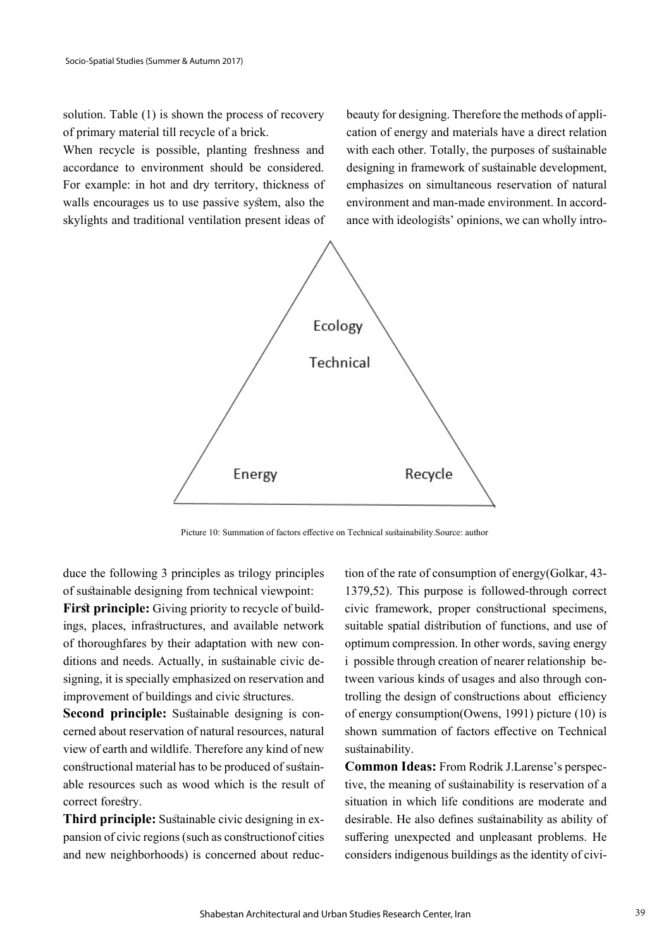solution. Table (1) is shown the process of recovery of primary material till recycle of a brick.

When recycle is possible, planting freshness and accordance to environment should be considered. For example: in hot and dry territory, thickness of walls encourages us to use passive system, also the skylights and traditional ventilation present ideas of beauty for designing. Therefore the methods of application of energy and materials have a direct relation with each other. Totally, the purposes of sustainable designing in framework of sustainable development, emphasizes on simultaneous reservation of natural environment and man-made environment. In accordance with ideologists' opinions, we can wholly intro-



Picture 10: Summation of factors effective on Technical sustainability.Source: author

duce the following 3 principles as trilogy principles of sustainable designing from technical viewpoint:

**First principle:** Giving priority to recycle of buildings, places, infrastructures, and available network of thoroughfares by their adaptation with new conditions and needs. Actually, in sustainable civic designing, it is specially emphasized on reservation and improvement of buildings and civic structures.

**Second principle:** Sustainable designing is concerned about reservation of natural resources, natural view of earth and wildlife. Therefore any kind of new constructional material has to be produced of sustainable resources such as wood which is the result of correct forestry.

**Third principle:** Sustainable civic designing in expansion of civic regions (such as constructionof cities and new neighborhoods) is concerned about reduction of the rate of consumption of energy(Golkar, 43- 1379,52). This purpose is followed-through correct civic framework, proper constructional specimens, suitable spatial distribution of functions, and use of optimum compression. In other words, saving energy i possible through creation of nearer relationship between various kinds of usages and also through controlling the design of constructions about efficiency of energy consumption(Owens, 1991) picture (10) is shown summation of factors effective on Technical sustainability.

**Common Ideas:** From Rodrik J.Larense's perspective, the meaning of sustainability is reservation of a situation in which life conditions are moderate and desirable. He also defines sustainability as ability of suffering unexpected and unpleasant problems. He considers indigenous buildings as the identity of civi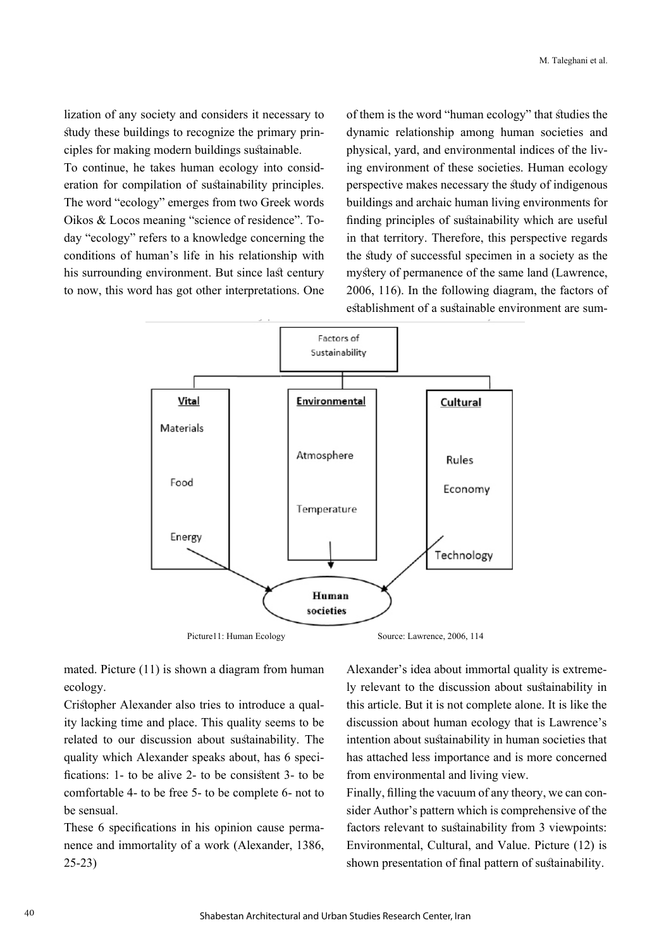lization of any society and considers it necessary to study these buildings to recognize the primary principles for making modern buildings sustainable.

To continue, he takes human ecology into consideration for compilation of sustainability principles. The word "ecology" emerges from two Greek words Oikos & Locos meaning "science of residence". Today "ecology" refers to a knowledge concerning the conditions of human's life in his relationship with his surrounding environment. But since last century to now, this word has got other interpretations. One

of them is the word "human ecology" that studies the dynamic relationship among human societies and physical, yard, and environmental indices of the living environment of these societies. Human ecology perspective makes necessary the study of indigenous buildings and archaic human living environments for finding principles of sustainability which are useful in that territory. Therefore, this perspective regards the study of successful specimen in a society as the mystery of permanence of the same land (Lawrence, 2006, 116). In the following diagram, the factors of establishment of a sustainable environment are sum-



mated. Picture (11) is shown a diagram from human ecology.

Cristopher Alexander also tries to introduce a quality lacking time and place. This quality seems to be related to our discussion about sustainability. The quality which Alexander speaks about, has 6 specifications: 1- to be alive 2- to be consistent 3- to be comfortable 4- to be free 5- to be complete 6- not to be sensual.

These 6 specifications in his opinion cause permanence and immortality of a work (Alexander, 1386, 25-23)

Alexander's idea about immortal quality is extremely relevant to the discussion about sustainability in this article. But it is not complete alone. It is like the discussion about human ecology that is Lawrence's intention about sustainability in human societies that has attached less importance and is more concerned from environmental and living view.

Finally, filling the vacuum of any theory, we can consider Author's pattern which is comprehensive of the factors relevant to sustainability from 3 viewpoints: Environmental, Cultural, and Value. Picture (12) is shown presentation of final pattern of sustainability.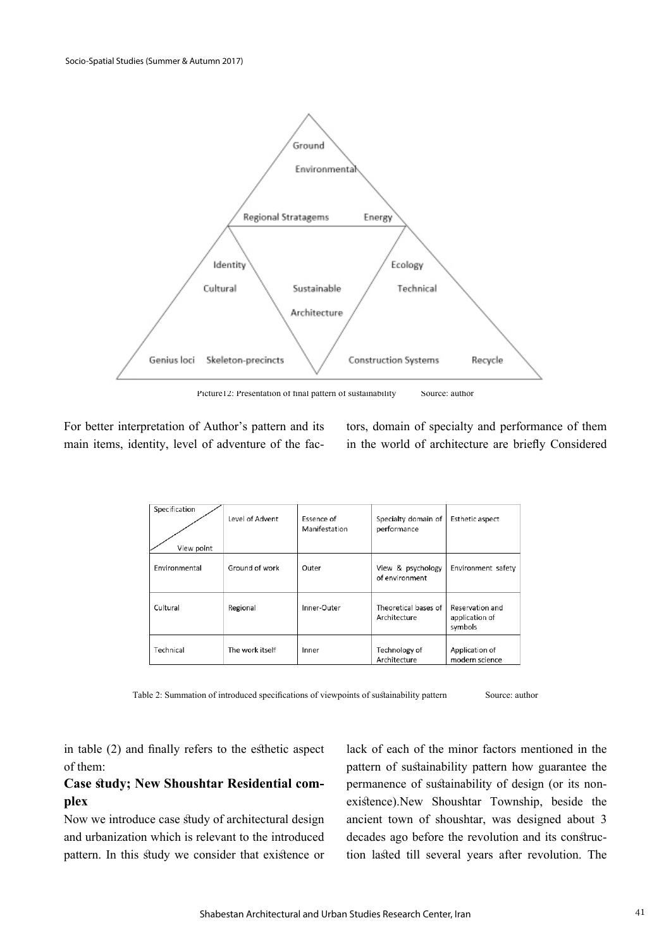

Picture12: Presentation of final pattern of sustainability Source: author

For better interpretation of Author's pattern and its main items, identity, level of adventure of the factors, domain of specialty and performance of them in the world of architecture are briefly Considered

| Specification<br>View point | Level of Advent | Essence of<br>Manifestation | Specialty domain of<br>performance   | Esthetic aspect                              |
|-----------------------------|-----------------|-----------------------------|--------------------------------------|----------------------------------------------|
| Environmental               | Ground of work  | Outer                       | View & psychology<br>of environment  | Environment safety                           |
| Cultural                    | Regional        | Inner-Outer                 | Theoretical bases of<br>Architecture | Reservation and<br>application of<br>symbols |
| Technical                   | The work itself | Inner                       | Technology of<br>Architecture        | Application of<br>modern science             |

Table 2: Summation of introduced specifications of viewpoints of sustainability pattern Source: author

in table (2) and finally refers to the esthetic aspect of them:

## **Case study; New Shoushtar Residential complex**

Now we introduce case study of architectural design and urbanization which is relevant to the introduced pattern. In this study we consider that existence or lack of each of the minor factors mentioned in the pattern of sustainability pattern how guarantee the permanence of sustainability of design (or its nonexistence).New Shoushtar Township, beside the ancient town of shoushtar, was designed about 3 decades ago before the revolution and its construction lasted till several years after revolution. The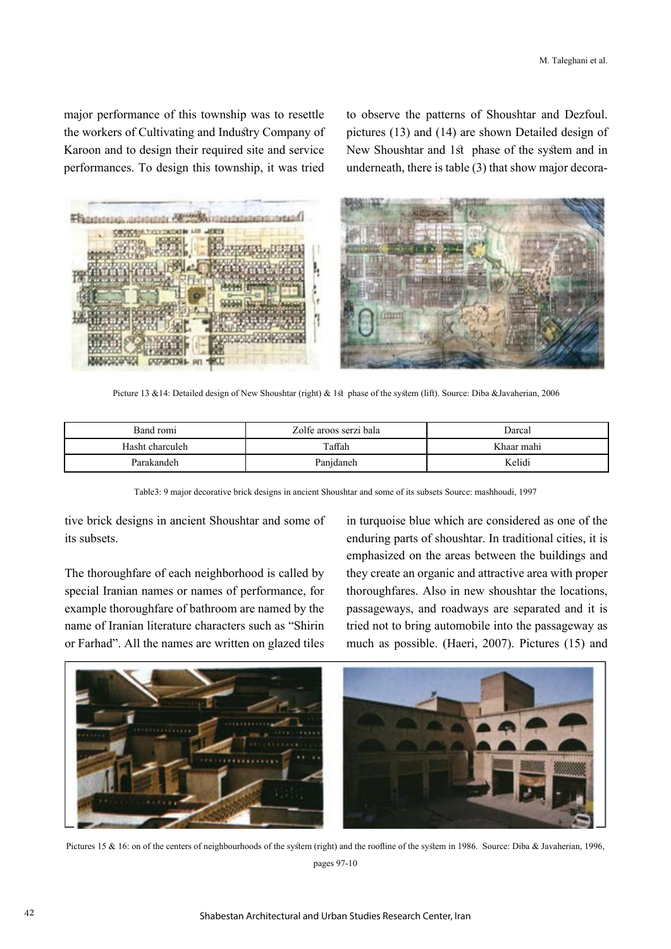major performance of this township was to resettle the workers of Cultivating and Industry Company of Karoon and to design their required site and service performances. To design this township, it was tried

to observe the patterns of Shoushtar and Dezfoul. pictures (13) and (14) are shown Detailed design of New Shoushtar and 1st phase of the system and in underneath, there is table (3) that show major decora-



Picture 13 &14: Detailed design of New Shoushtar (right) & 1st phase of the system (lift). Source: Diba &Javaherian, 2006

| Band romi       | Zolfe aroos serzi bala | Darcal     |  |
|-----------------|------------------------|------------|--|
| Hasht charculeh | Taffah                 | Khaar mahi |  |
| Parakandeh      | Panjdaneh              | Kelidi     |  |

Table3: 9 major decorative brick designs in ancient Shoushtar and some of its subsets Source: mashhoudi, 1997

tive brick designs in ancient Shoushtar and some of its subsets.

The thoroughfare of each neighborhood is called by special Iranian names or names of performance, for example thoroughfare of bathroom are named by the name of Iranian literature characters such as "Shirin or Farhad". All the names are written on glazed tiles in turquoise blue which are considered as one of the enduring parts of shoushtar. In traditional cities, it is emphasized on the areas between the buildings and they create an organic and attractive area with proper thoroughfares. Also in new shoushtar the locations, passageways, and roadways are separated and it is tried not to bring automobile into the passageway as much as possible. (Haeri, 2007). Pictures (15) and



Pictures 15 & 16: on of the centers of neighbourhoods of the system (right) and the roofline of the system in 1986. Source: Diba & Javaherian, 1996, pages 97-10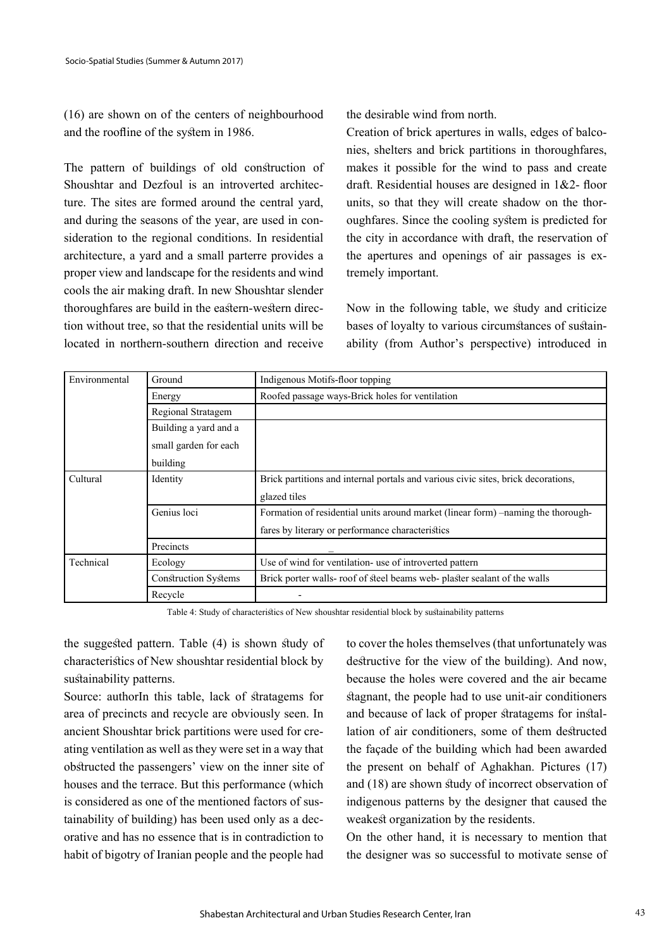(16) are shown on of the centers of neighbourhood and the roofline of the system in 1986.

The pattern of buildings of old construction of Shoushtar and Dezfoul is an introverted architecture. The sites are formed around the central yard, and during the seasons of the year, are used in consideration to the regional conditions. In residential architecture, a yard and a small parterre provides a proper view and landscape for the residents and wind cools the air making draft. In new Shoushtar slender thoroughfares are build in the eastern-western direction without tree, so that the residential units will be located in northern-southern direction and receive the desirable wind from north.

Creation of brick apertures in walls, edges of balconies, shelters and brick partitions in thoroughfares, makes it possible for the wind to pass and create draft. Residential houses are designed in 1&2- floor units, so that they will create shadow on the thoroughfares. Since the cooling system is predicted for the city in accordance with draft, the reservation of the apertures and openings of air passages is extremely important.

Now in the following table, we study and criticize bases of loyalty to various circumstances of sustainability (from Author's perspective) introduced in

| Environmental | Ground                      | Indigenous Motifs-floor topping                                                   |  |
|---------------|-----------------------------|-----------------------------------------------------------------------------------|--|
|               | Energy                      | Roofed passage ways-Brick holes for ventilation                                   |  |
|               | Regional Stratagem          |                                                                                   |  |
|               | Building a yard and a       |                                                                                   |  |
|               | small garden for each       |                                                                                   |  |
|               | building                    |                                                                                   |  |
| Cultural      | Identity                    | Brick partitions and internal portals and various civic sites, brick decorations, |  |
|               |                             | glazed tiles                                                                      |  |
| Genius loci   |                             | Formation of residential units around market (linear form) –naming the thorough-  |  |
|               |                             | fares by literary or performance characteristics                                  |  |
|               | Precincts                   |                                                                                   |  |
| Technical     | Ecology                     | Use of wind for ventilation- use of introverted pattern                           |  |
|               | <b>Construction Systems</b> | Brick porter walls- roof of steel beams web- plaster sealant of the walls         |  |
|               | Recycle                     | ۰                                                                                 |  |

Table 4: Study of characteristics of New shoushtar residential block by sustainability patterns

the suggested pattern. Table (4) is shown study of characteristics of New shoushtar residential block by sustainability patterns.

Source: authorIn this table, lack of stratagems for area of precincts and recycle are obviously seen. In ancient Shoushtar brick partitions were used for creating ventilation as well as they were set in a way that obstructed the passengers' view on the inner site of houses and the terrace. But this performance (which is considered as one of the mentioned factors of sustainability of building) has been used only as a decorative and has no essence that is in contradiction to habit of bigotry of Iranian people and the people had

to cover the holes themselves (that unfortunately was destructive for the view of the building). And now, because the holes were covered and the air became stagnant, the people had to use unit-air conditioners and because of lack of proper stratagems for installation of air conditioners, some of them destructed the façade of the building which had been awarded the present on behalf of Aghakhan. Pictures (17) and (18) are shown study of incorrect observation of indigenous patterns by the designer that caused the weakest organization by the residents.

On the other hand, it is necessary to mention that the designer was so successful to motivate sense of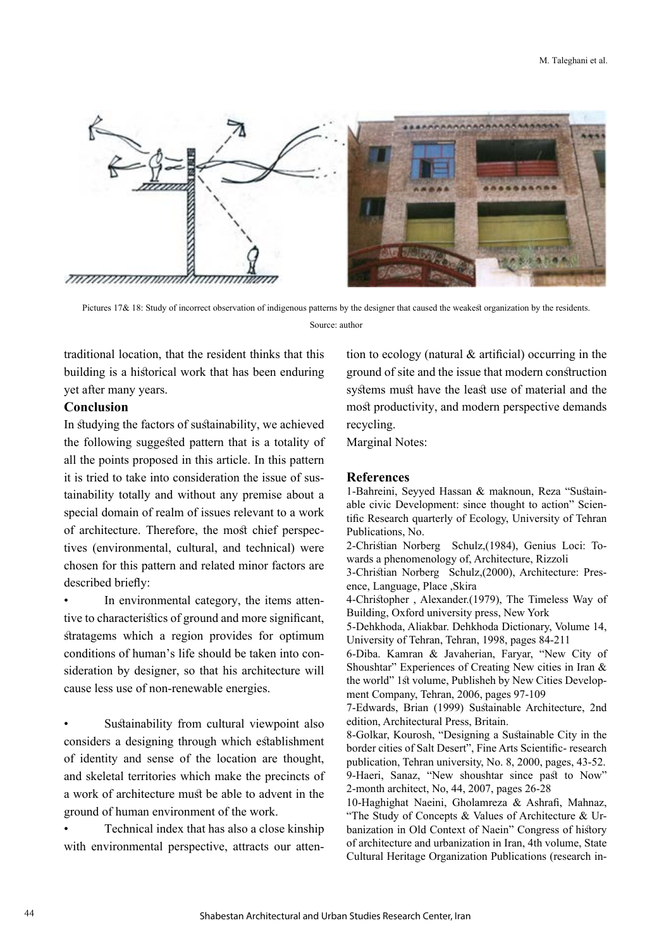

Pictures 17& 18: Study of incorrect observation of indigenous patterns by the designer that caused the weakest organization by the residents. Source: author

traditional location, that the resident thinks that this building is a historical work that has been enduring yet after many years.

#### **Conclusion**

In studying the factors of sustainability, we achieved the following suggested pattern that is a totality of all the points proposed in this article. In this pattern it is tried to take into consideration the issue of sustainability totally and without any premise about a special domain of realm of issues relevant to a work of architecture. Therefore, the most chief perspectives (environmental, cultural, and technical) were chosen for this pattern and related minor factors are described briefly:

In environmental category, the items attentive to characteristics of ground and more significant, stratagems which a region provides for optimum conditions of human's life should be taken into consideration by designer, so that his architecture will cause less use of non-renewable energies.

Sustainability from cultural viewpoint also considers a designing through which establishment of identity and sense of the location are thought, and skeletal territories which make the precincts of a work of architecture must be able to advent in the ground of human environment of the work.

• Technical index that has also a close kinship with environmental perspective, attracts our attention to ecology (natural & artificial) occurring in the ground of site and the issue that modern construction systems must have the least use of material and the most productivity, and modern perspective demands recycling.

Marginal Notes:

#### **References**

1-Bahreini, Seyyed Hassan & maknoun, Reza "Sustainable civic Development: since thought to action" Scientific Research quarterly of Ecology, University of Tehran Publications, No.

2-Christian Norberg Schulz,(1984), Genius Loci: Towards a phenomenology of, Architecture, Rizzoli

3-Christian Norberg Schulz,(2000), Architecture: Presence, Language, Place ,Skira

4-Christopher , Alexander.(1979), The Timeless Way of Building, Oxford university press, New York

5-Dehkhoda, Aliakbar. Dehkhoda Dictionary, Volume 14, University of Tehran, Tehran, 1998, pages 84-211

6-Diba. Kamran & Javaherian, Faryar, "New City of Shoushtar" Experiences of Creating New cities in Iran & the world" 1st volume, Publisheh by New Cities Development Company, Tehran, 2006, pages 97-109

7-Edwards, Brian (1999) Sustainable Architecture, 2nd edition, Architectural Press, Britain.

8-Golkar, Kourosh, "Designing a Sustainable City in the border cities of Salt Desert", Fine Arts Scientific- research publication, Tehran university, No. 8, 2000, pages, 43-52. 9-Haeri, Sanaz, "New shoushtar since past to Now" 2-month architect, No, 44, 2007, pages 26-28

10-Haghighat Naeini, Gholamreza & Ashrafi, Mahnaz, "The Study of Concepts & Values of Architecture & Urbanization in Old Context of Naein" Congress of history of architecture and urbanization in Iran, 4th volume, State Cultural Heritage Organization Publications (research in